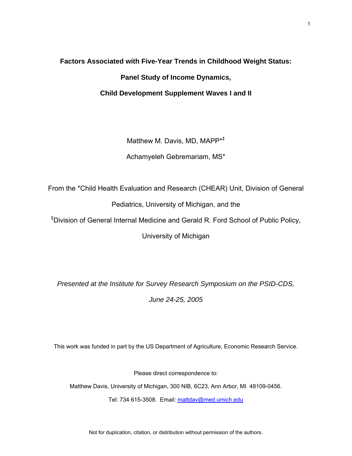# **Factors Associated with Five-Year Trends in Childhood Weight Status: Panel Study of Income Dynamics, Child Development Supplement Waves I and II**

Matthew M. Davis, MD, MAPP\*‡

Achamyeleh Gebremariam, MS\*

From the \*Child Health Evaluation and Research (CHEAR) Unit, Division of General

Pediatrics, University of Michigan, and the

‡ Division of General Internal Medicine and Gerald R. Ford School of Public Policy,

University of Michigan

*Presented at the Institute for Survey Research Symposium on the PSID-CDS,* 

*June 24-25, 2005*

This work was funded in part by the US Department of Agriculture, Economic Research Service.

Please direct correspondence to:

Matthew Davis, University of Michigan, 300 NIB, 6C23, Ann Arbor, MI 48109-0456.

Tel: 734 615-3508. Email: [mattdav@med.umich.edu](mailto:mattdav@med.umich.edu)

Not for duplication, citation, or distribution without permission of the authors.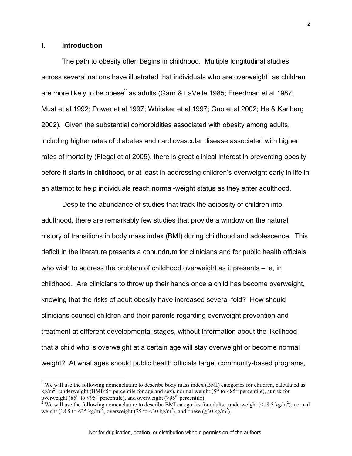#### **I. Introduction**

 $\overline{a}$ 

The path to obesity often begins in childhood. Multiple longitudinal studies across several nations have illustrated that individuals who are overweight<sup>[1](#page-1-0)</sup> as children are more likely to be obese<sup>[2](#page-1-1)</sup> as adults.(Garn & LaVelle 1985; Freedman et al 1987; Must et al 1992; Power et al 1997; Whitaker et al 1997; Guo et al 2002; He & Karlberg 2002). Given the substantial comorbidities associated with obesity among adults, including higher rates of diabetes and cardiovascular disease associated with higher rates of mortality (Flegal et al 2005), there is great clinical interest in preventing obesity before it starts in childhood, or at least in addressing children's overweight early in life in an attempt to help individuals reach normal-weight status as they enter adulthood.

Despite the abundance of studies that track the adiposity of children into adulthood, there are remarkably few studies that provide a window on the natural history of transitions in body mass index (BMI) during childhood and adolescence. This deficit in the literature presents a conundrum for clinicians and for public health officials who wish to address the problem of childhood overweight as it presents – ie, in childhood. Are clinicians to throw up their hands once a child has become overweight, knowing that the risks of adult obesity have increased several-fold? How should clinicians counsel children and their parents regarding overweight prevention and treatment at different developmental stages, without information about the likelihood that a child who is overweight at a certain age will stay overweight or become normal weight? At what ages should public health officials target community-based programs,

<span id="page-1-0"></span><sup>&</sup>lt;sup>1</sup> We will use the following nomenclature to describe body mass index (BMI) categories for children, calculated as kg/m<sup>2</sup>: underweight (BMI<5<sup>th</sup> percentile for age and sex), normal weight (5<sup>th</sup> to <85<sup>th</sup> percentile), at risk for overweight (85<sup>th</sup> to <95<sup>th</sup> percentile), and overweight (≥95<sup>th</sup> percentile).<br><sup>2</sup> We will use the following nomenclature to describe BMI categories for adults: underweight (<18.5 kg/m<sup>2</sup>), normal

<span id="page-1-1"></span>weight (18.5 to <25 kg/m<sup>2</sup>), overweight (25 to <30 kg/m<sup>2</sup>), and obese ( $\geq$ 30 kg/m<sup>2</sup>).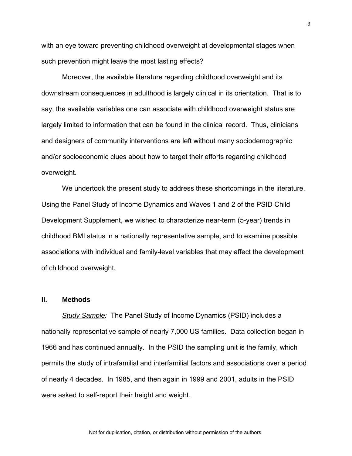with an eye toward preventing childhood overweight at developmental stages when such prevention might leave the most lasting effects?

 Moreover, the available literature regarding childhood overweight and its downstream consequences in adulthood is largely clinical in its orientation. That is to say, the available variables one can associate with childhood overweight status are largely limited to information that can be found in the clinical record. Thus, clinicians and designers of community interventions are left without many sociodemographic and/or socioeconomic clues about how to target their efforts regarding childhood overweight.

We undertook the present study to address these shortcomings in the literature. Using the Panel Study of Income Dynamics and Waves 1 and 2 of the PSID Child Development Supplement, we wished to characterize near-term (5-year) trends in childhood BMI status in a nationally representative sample, and to examine possible associations with individual and family-level variables that may affect the development of childhood overweight.

#### **II. Methods**

*Study Sample:* The Panel Study of Income Dynamics (PSID) includes a nationally representative sample of nearly 7,000 US families. Data collection began in 1966 and has continued annually. In the PSID the sampling unit is the family, which permits the study of intrafamilial and interfamilial factors and associations over a period of nearly 4 decades. In 1985, and then again in 1999 and 2001, adults in the PSID were asked to self-report their height and weight.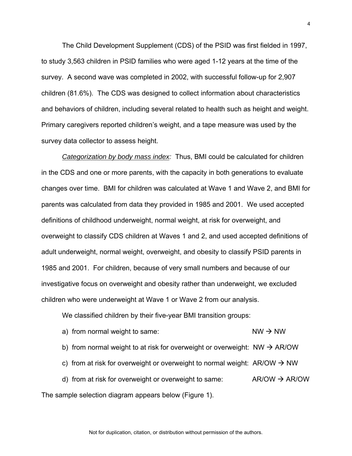The Child Development Supplement (CDS) of the PSID was first fielded in 1997, to study 3,563 children in PSID families who were aged 1-12 years at the time of the survey. A second wave was completed in 2002, with successful follow-up for 2,907 children (81.6%). The CDS was designed to collect information about characteristics and behaviors of children, including several related to health such as height and weight. Primary caregivers reported children's weight, and a tape measure was used by the survey data collector to assess height.

*Categorization by body mass index:* Thus, BMI could be calculated for children in the CDS and one or more parents, with the capacity in both generations to evaluate changes over time. BMI for children was calculated at Wave 1 and Wave 2, and BMI for parents was calculated from data they provided in 1985 and 2001. We used accepted definitions of childhood underweight, normal weight, at risk for overweight, and overweight to classify CDS children at Waves 1 and 2, and used accepted definitions of adult underweight, normal weight, overweight, and obesity to classify PSID parents in 1985 and 2001. For children, because of very small numbers and because of our investigative focus on overweight and obesity rather than underweight, we excluded children who were underweight at Wave 1 or Wave 2 from our analysis.

We classified children by their five-year BMI transition groups:

a) from normal weight to same:  $NW \rightarrow NW$ b) from normal weight to at risk for overweight or overweight:  $NW \rightarrow AR/OW$ c) from at risk for overweight or overweight to normal weight:  $AR/OW \rightarrow NW$ d) from at risk for overweight or overweight to same:  $AR/OW \rightarrow AR/OW$ The sample selection diagram appears below (Figure 1).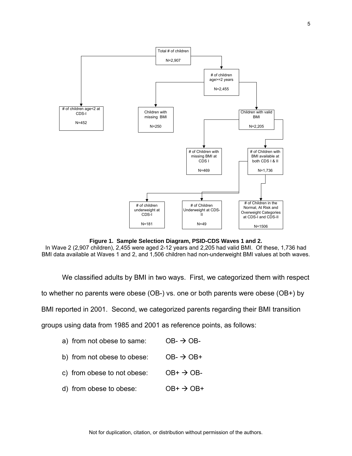

**Figure 1. Sample Selection Diagram, PSID-CDS Waves 1 and 2.**

In Wave 2 (2,907 children), 2,455 were aged 2-12 years and 2,205 had valid BMI. Of these, 1,736 had BMI data available at Waves 1 and 2, and 1,506 children had non-underweight BMI values at both waves.

We classified adults by BMI in two ways. First, we categorized them with respect

to whether no parents were obese (OB-) vs. one or both parents were obese (OB+) by

BMI reported in 2001. Second, we categorized parents regarding their BMI transition

groups using data from 1985 and 2001 as reference points, as follows:

- a) from not obese to same:  $OB \rightarrow OB$ -
- b) from not obese to obese:  $OB \rightarrow OB +$
- c) from obese to not obese:  $OB^+ \rightarrow OB^-$
- d) from obese to obese:  $OB^+ \rightarrow OB^+$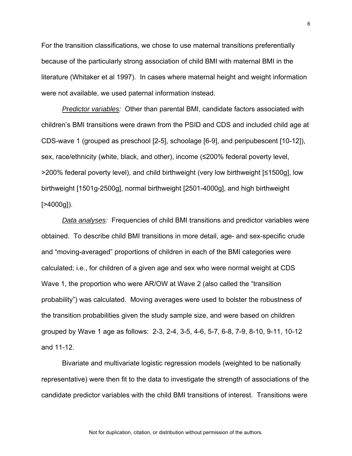For the transition classifications, we chose to use maternal transitions preferentially because of the particularly strong association of child BMI with maternal BMI in the literature (Whitaker et al 1997). In cases where maternal height and weight information were not available, we used paternal information instead.

*Predictor variables:* Other than parental BMI, candidate factors associated with children's BMI transitions were drawn from the PSID and CDS and included child age at CDS-wave 1 (grouped as preschool [2-5], schoolage [6-9], and peripubescent [10-12]), sex, race/ethnicity (white, black, and other), income (≤200% federal poverty level, >200% federal poverty level), and child birthweight (very low birthweight [≤1500g], low birthweight [1501g-2500g], normal birthweight [2501-4000g], and high birthweight  $[>4000q]$ ).

*Data analyses:* Frequencies of child BMI transitions and predictor variables were obtained. To describe child BMI transitions in more detail, age- and sex-specific crude and "moving-averaged" proportions of children in each of the BMI categories were calculated; i.e., for children of a given age and sex who were normal weight at CDS Wave 1, the proportion who were AR/OW at Wave 2 (also called the "transition probability") was calculated. Moving averages were used to bolster the robustness of the transition probabilities given the study sample size, and were based on children grouped by Wave 1 age as follows: 2-3, 2-4, 3-5, 4-6, 5-7, 6-8, 7-9, 8-10, 9-11, 10-12 and 11-12.

Bivariate and multivariate logistic regression models (weighted to be nationally representative) were then fit to the data to investigate the strength of associations of the candidate predictor variables with the child BMI transitions of interest. Transitions were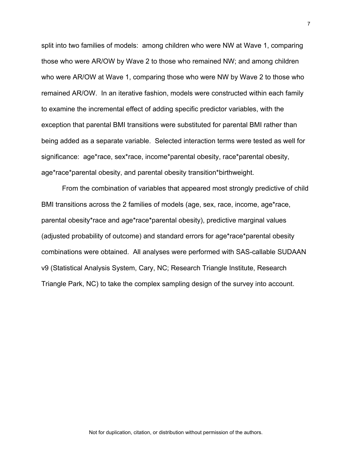split into two families of models: among children who were NW at Wave 1, comparing those who were AR/OW by Wave 2 to those who remained NW; and among children who were AR/OW at Wave 1, comparing those who were NW by Wave 2 to those who remained AR/OW. In an iterative fashion, models were constructed within each family to examine the incremental effect of adding specific predictor variables, with the exception that parental BMI transitions were substituted for parental BMI rather than being added as a separate variable. Selected interaction terms were tested as well for significance: age\*race, sex\*race, income\*parental obesity, race\*parental obesity, age\*race\*parental obesity, and parental obesity transition\*birthweight.

From the combination of variables that appeared most strongly predictive of child BMI transitions across the 2 families of models (age, sex, race, income, age\*race, parental obesity\*race and age\*race\*parental obesity), predictive marginal values (adjusted probability of outcome) and standard errors for age\*race\*parental obesity combinations were obtained. All analyses were performed with SAS-callable SUDAAN v9 (Statistical Analysis System, Cary, NC; Research Triangle Institute, Research Triangle Park, NC) to take the complex sampling design of the survey into account.

Not for duplication, citation, or distribution without permission of the authors.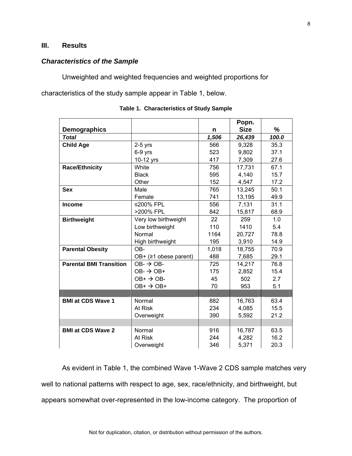# **III. Results**

### *Characteristics of the Sample*

Unweighted and weighted frequencies and weighted proportions for

characteristics of the study sample appear in Table 1, below.

|                                |                           |       | Popn.       |       |
|--------------------------------|---------------------------|-------|-------------|-------|
| <b>Demographics</b>            |                           | n     | <b>Size</b> | %     |
| <b>Total</b>                   |                           | 1,506 | 26,439      | 100.0 |
| <b>Child Age</b>               | $2-5$ yrs                 | 566   | 9,328       | 35.3  |
|                                | 6-9 yrs                   | 523   | 9,802       | 37.1  |
|                                | 10-12 yrs                 | 417   | 7,309       | 27.6  |
| <b>Race/Ethnicity</b>          | White                     | 756   | 17,731      | 67.1  |
|                                | <b>Black</b>              | 595   | 4,140       | 15.7  |
|                                | Other                     | 152   | 4,547       | 17.2  |
| <b>Sex</b>                     | Male                      | 765   | 13,245      | 50.1  |
|                                | Female                    | 741   | 13,195      | 49.9  |
| <b>Income</b>                  | ≤200% FPL                 | 556   | 7,131       | 31.1  |
|                                | >200% FPL                 | 842   | 15,817      | 68.9  |
| <b>Birthweight</b>             | Very low birthweight      | 22    | 259         | 1.0   |
|                                | Low birthweight           | 110   | 1410        | 5.4   |
|                                | Normal                    | 1164  | 20,727      | 78.8  |
|                                | High birthweight          | 195   | 3,910       | 14.9  |
| <b>Parental Obesity</b>        | OB-                       | 1,018 | 18,755      | 70.9  |
|                                | OB+ $(≥1$ obese parent)   | 488   | 7,685       | 29.1  |
| <b>Parental BMI Transition</b> | $OB - \rightarrow OB -$   | 725   | 14,217      | 76.8  |
|                                | $OB - \rightarrow OB +$   | 175   | 2,852       | 15.4  |
|                                | $OB+$ $\rightarrow$ OB-   | 45    | 502         | 2.7   |
|                                | $OB+$ $\rightarrow$ $OB+$ | 70    | 953         | 5.1   |
|                                |                           |       |             |       |
| <b>BMI at CDS Wave 1</b>       | Normal                    | 882   | 16,763      | 63.4  |
|                                | At Risk                   | 234   | 4,085       | 15.5  |
|                                | Overweight                | 390   | 5,592       | 21.2  |
|                                |                           |       |             |       |
| <b>BMI at CDS Wave 2</b>       | Normal                    | 916   | 16,787      | 63.5  |
|                                | At Risk                   | 244   | 4,282       | 16.2  |
|                                | Overweight                | 346   | 5,371       | 20.3  |

|  | Table 1. Characteristics of Study Sample |  |  |
|--|------------------------------------------|--|--|
|--|------------------------------------------|--|--|

As evident in Table 1, the combined Wave 1-Wave 2 CDS sample matches very well to national patterns with respect to age, sex, race/ethnicity, and birthweight, but appears somewhat over-represented in the low-income category. The proportion of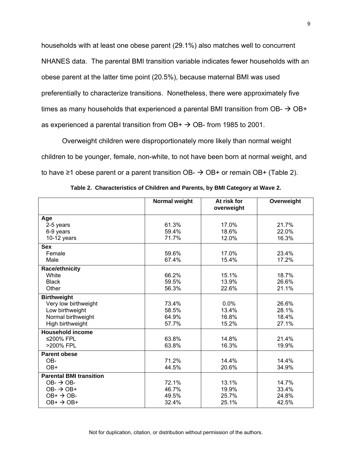households with at least one obese parent (29.1%) also matches well to concurrent NHANES data. The parental BMI transition variable indicates fewer households with an obese parent at the latter time point (20.5%), because maternal BMI was used preferentially to characterize transitions. Nonetheless, there were approximately five times as many households that experienced a parental BMI transition from OB-  $\rightarrow$  OB+ as experienced a parental transition from  $OB + \rightarrow OB$ - from 1985 to 2001.

Overweight children were disproportionately more likely than normal weight children to be younger, female, non-white, to not have been born at normal weight, and to have ≥1 obese parent or a parent transition OB-  $\rightarrow$  OB+ or remain OB+ (Table 2).

|                                | Normal weight | At risk for<br>overweight | Overweight |
|--------------------------------|---------------|---------------------------|------------|
| Age                            |               |                           |            |
| 2-5 years                      | 61.3%         | 17.0%                     | 21.7%      |
| 6-9 years                      | 59.4%         | 18.6%                     | 22.0%      |
| $10-12$ years                  | 71.7%         | 12.0%                     | 16.3%      |
| <b>Sex</b>                     |               |                           |            |
| Female                         | 59.6%         | 17.0%                     | 23.4%      |
| Male                           | 67.4%         | 15.4%                     | 17.2%      |
| Race/ethnicity                 |               |                           |            |
| White                          | 66.2%         | 15.1%                     | 18.7%      |
| <b>Black</b>                   | 59.5%         | 13.9%                     | 26.6%      |
| Other                          | 56.3%         | 22.6%                     | 21.1%      |
| <b>Birthweight</b>             |               |                           |            |
| Very low birthweight           | 73.4%         | 0.0%                      | 26.6%      |
| Low birthweight                | 58.5%         | 13.4%                     | 28.1%      |
| Normal birthweight             | 64.9%         | 16.8%                     | 18.4%      |
| High birthweight               | 57.7%         | 15.2%                     | 27.1%      |
| <b>Household income</b>        |               |                           |            |
| ≤200% FPL                      | 63.8%         | 14.8%                     | 21.4%      |
| >200% FPL                      | 63.8%         | 16.3%                     | 19.9%      |
| <b>Parent obese</b>            |               |                           |            |
| OB-                            | 71.2%         | 14.4%                     | 14.4%      |
| OB+                            | 44.5%         | 20.6%                     | 34.9%      |
| <b>Parental BMI transition</b> |               |                           |            |
| $OB - \rightarrow OB -$        | 72.1%         | 13.1%                     | 14.7%      |
| $OB - \rightarrow OB +$        | 46.7%         | 19.9%                     | 33.4%      |
| $OB+$ $\rightarrow$ OB-        | 49.5%         | 25.7%                     | 24.8%      |
| $OB+$ $\rightarrow$ $OB+$      | 32.4%         | 25.1%                     | 42.5%      |

**Table 2. Characteristics of Children and Parents, by BMI Category at Wave 2.**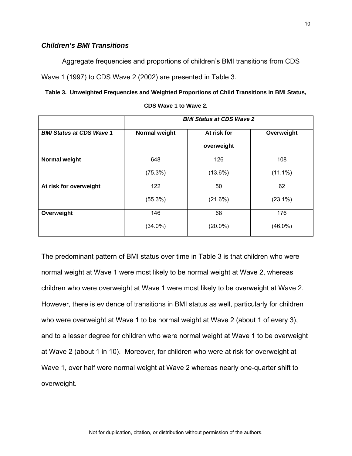# *Children's BMI Transitions*

Aggregate frequencies and proportions of children's BMI transitions from CDS

Wave 1 (1997) to CDS Wave 2 (2002) are presented in Table 3.

**Table 3. Unweighted Frequencies and Weighted Proportions of Child Transitions in BMI Status,** 

|                                 |               | <b>BMI Status at CDS Wave 2</b> |            |
|---------------------------------|---------------|---------------------------------|------------|
| <b>BMI Status at CDS Wave 1</b> | Normal weight | At risk for                     | Overweight |
|                                 |               | overweight                      |            |
| Normal weight                   | 648           | 126                             | 108        |
|                                 | (75.3%)       | $(13.6\%)$                      | $(11.1\%)$ |
| At risk for overweight          | 122           | 50                              | 62         |
|                                 | $(55.3\%)$    | (21.6%)                         | $(23.1\%)$ |
| Overweight                      | 146           | 68                              | 176        |
|                                 | $(34.0\%)$    | $(20.0\%)$                      | $(46.0\%)$ |

**CDS Wave 1 to Wave 2.**

The predominant pattern of BMI status over time in Table 3 is that children who were normal weight at Wave 1 were most likely to be normal weight at Wave 2, whereas children who were overweight at Wave 1 were most likely to be overweight at Wave 2. However, there is evidence of transitions in BMI status as well, particularly for children who were overweight at Wave 1 to be normal weight at Wave 2 (about 1 of every 3), and to a lesser degree for children who were normal weight at Wave 1 to be overweight at Wave 2 (about 1 in 10). Moreover, for children who were at risk for overweight at Wave 1, over half were normal weight at Wave 2 whereas nearly one-quarter shift to overweight.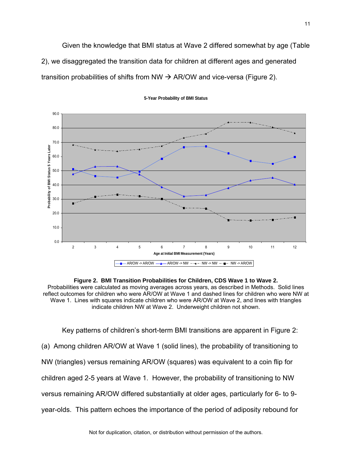Given the knowledge that BMI status at Wave 2 differed somewhat by age (Table 2), we disaggregated the transition data for children at different ages and generated transition probabilities of shifts from NW  $\rightarrow$  AR/OW and vice-versa (Figure 2).



**5-Year Probability of BMI Status**

**Figure 2. BMI Transition Probabilities for Children, CDS Wave 1 to Wave 2.** Probabilities were calculated as moving averages across years, as described in Methods. Solid lines reflect outcomes for children who were AR/OW at Wave 1 and dashed lines for children who were NW at Wave 1. Lines with squares indicate children who were AR/OW at Wave 2, and lines with triangles indicate children NW at Wave 2. Underweight children not shown.

Key patterns of children's short-term BMI transitions are apparent in Figure 2: (a) Among children AR/OW at Wave 1 (solid lines), the probability of transitioning to NW (triangles) versus remaining AR/OW (squares) was equivalent to a coin flip for children aged 2-5 years at Wave 1. However, the probability of transitioning to NW versus remaining AR/OW differed substantially at older ages, particularly for 6- to 9 year-olds. This pattern echoes the importance of the period of adiposity rebound for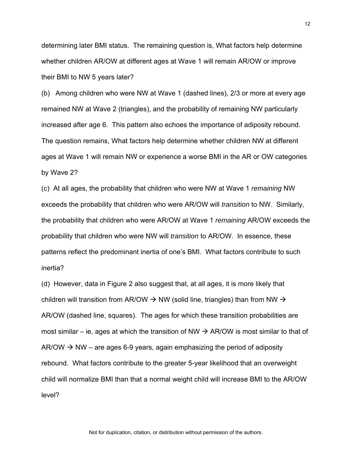determining later BMI status. The remaining question is, What factors help determine whether children AR/OW at different ages at Wave 1 will remain AR/OW or improve their BMI to NW 5 years later?

(b) Among children who were NW at Wave 1 (dashed lines), 2/3 or more at every age remained NW at Wave 2 (triangles), and the probability of remaining NW particularly increased after age 6. This pattern also echoes the importance of adiposity rebound. The question remains, What factors help determine whether children NW at different ages at Wave 1 will remain NW or experience a worse BMI in the AR or OW categories by Wave 2?

(c) At all ages, the probability that children who were NW at Wave 1 *remaining* NW exceeds the probability that children who were AR/OW will *transition* to NW. Similarly, the probability that children who were AR/OW at Wave 1 *remaining* AR/OW exceeds the probability that children who were NW will *transition* to AR/OW. In essence, these patterns reflect the predominant inertia of one's BMI. What factors contribute to such inertia?

(d) However, data in Figure 2 also suggest that, at all ages, it is more likely that children will transition from AR/OW  $\rightarrow$  NW (solid line, triangles) than from NW  $\rightarrow$ AR/OW (dashed line, squares). The ages for which these transition probabilities are most similar – ie, ages at which the transition of NW  $\rightarrow$  AR/OW is most similar to that of AR/OW  $\rightarrow$  NW – are ages 6-9 years, again emphasizing the period of adiposity rebound. What factors contribute to the greater 5-year likelihood that an overweight child will normalize BMI than that a normal weight child will increase BMI to the AR/OW level?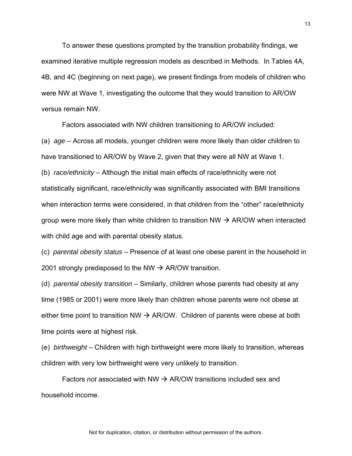To answer these questions prompted by the transition probability findings, we examined iterative multiple regression models as described in Methods. In Tables 4A, 4B, and 4C (beginning on next page), we present findings from models of children who were NW at Wave 1, investigating the outcome that they would transition to AR/OW versus remain NW.

Factors associated with NW children transitioning to AR/OW included:

(a) *age* – Across all models, younger children were more likely than older children to have transitioned to AR/OW by Wave 2, given that they were all NW at Wave 1.

(b) *race/ethnicity* – Although the initial main effects of race/ethnicity were not statistically significant, race/ethnicity was significantly associated with BMI transitions when interaction terms were considered, in that children from the "other" race/ethnicity group were more likely than white children to transition NW  $\rightarrow$  AR/OW when interacted with child age and with parental obesity status.

(c) *parental obesity status* – Presence of at least one obese parent in the household in 2001 strongly predisposed to the NW  $\rightarrow$  AR/OW transition.

(d) *parental obesity transition* – Similarly, children whose parents had obesity at any time (1985 or 2001) were more likely than children whose parents were not obese at either time point to transition NW  $\rightarrow$  AR/OW. Children of parents were obese at both time points were at highest risk.

(e) *birthweight* – Children with high birthweight were more likely to transition, whereas children with very low birthweight were very unlikely to transition.

Factors *not* associated with NW  $\rightarrow$  AR/OW transitions included sex and household income.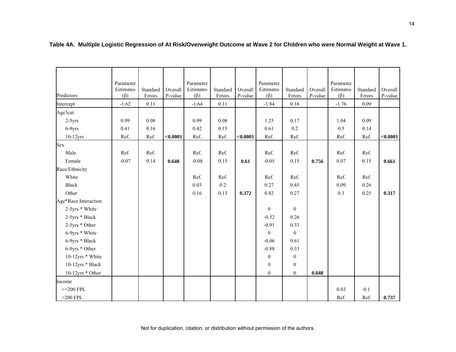|                      | Parameter              |                    |                    | Parameter              |                    |                    | Parameter<br>Estimates |                    |                    | Parameter<br>Estimates |                    |                    |
|----------------------|------------------------|--------------------|--------------------|------------------------|--------------------|--------------------|------------------------|--------------------|--------------------|------------------------|--------------------|--------------------|
| Predictors           | Estimates<br>$(\beta)$ | Standard<br>Errors | Overall<br>P-value | Estimates<br>$(\beta)$ | Standard<br>Errors | Overall<br>P-value | $(\beta)$              | Standard<br>Errors | Overall<br>P-value | $(\beta)$              | Standard<br>Errors | Overall<br>P-value |
| Intercept            | $-1.62$                | 0.11               |                    | $-1.64$                | 0.11               |                    | $-1.84$                | 0.16               |                    | $-1.76$                | 0.09               |                    |
| Age3cat              |                        |                    |                    |                        |                    |                    |                        |                    |                    |                        |                    |                    |
| $2-5yrs$             | 0.99                   | 0.08               |                    | 0.99                   | 0.08               |                    | 1.25                   | 0.17               |                    | 1.04                   | 0.09               |                    |
| $6-9yrs$             | 0.41                   | 0.16               |                    | 0.42                   | 0.15               |                    | 0.61                   | $0.2\,$            |                    | 0.5                    | 0.14               |                    |
| $10-12$ yrs          | Ref.                   | Ref.               | < 0.0001           | Ref.                   | Ref.               | < 0.0001           | Ref.                   | Ref.               |                    | Ref.                   | Ref.               | < 0.0001           |
| Sex                  |                        |                    |                    |                        |                    |                    |                        |                    |                    |                        |                    |                    |
| Male                 | Ref.                   | Ref.               |                    | Ref.                   | Ref.               |                    | Ref.                   | Ref.               |                    | Ref.                   | Ref.               |                    |
| Female               | $-0.07$                | 0.14               | 0.648              | $-0.08$                | 0.15               | 0.61               | $-0.05$                | 0.15               | 0.756              | 0.07                   | 0.15               | 0.661              |
| Race/Ethnicity       |                        |                    |                    |                        |                    |                    |                        |                    |                    |                        |                    |                    |
| White                |                        |                    |                    | Ref.                   | Ref.               |                    | Ref.                   | Ref.               |                    | Ref.                   | Ref.               |                    |
| <b>Black</b>         |                        |                    |                    | 0.03                   | 0.2                |                    | 0.27                   | 0.45               |                    | 0.09                   | 0.26               |                    |
| Other                |                        |                    |                    | 0.16                   | 0.13               | 0.372              | 0.82                   | 0.27               |                    | 0.3                    | 0.25               | 0.317              |
| Age*Race Interaction |                        |                    |                    |                        |                    |                    |                        |                    |                    |                        |                    |                    |
| 2-5yrs * White       |                        |                    |                    |                        |                    |                    | $\boldsymbol{0}$       | $\overline{0}$     |                    |                        |                    |                    |
| 2-5yrs * Black       |                        |                    |                    |                        |                    |                    | $-0.52$                | 0.26               |                    |                        |                    |                    |
| 2-5yrs * Other       |                        |                    |                    |                        |                    |                    | $-0.91$                | 0.33               |                    |                        |                    |                    |
| 6-9yrs * White       |                        |                    |                    |                        |                    |                    | $\boldsymbol{0}$       | $\overline{0}$     |                    |                        |                    |                    |
| 6-9yrs * Black       |                        |                    |                    |                        |                    |                    | $-0.06$                | 0.61               |                    |                        |                    |                    |
| 6-9yrs * Other       |                        |                    |                    |                        |                    |                    | $-0.88$                | 0.33               |                    |                        |                    |                    |
| 10-12yrs * White     |                        |                    |                    |                        |                    |                    | $\boldsymbol{0}$       | $\boldsymbol{0}$   |                    |                        |                    |                    |
| 10-12yrs * Black     |                        |                    |                    |                        |                    |                    | $\boldsymbol{0}$       | $\boldsymbol{0}$   |                    |                        |                    |                    |
| 10-12yrs * Other     |                        |                    |                    |                        |                    |                    | $\boldsymbol{0}$       | $\boldsymbol{0}$   | 0.048              |                        |                    |                    |
| Income               |                        |                    |                    |                        |                    |                    |                        |                    |                    |                        |                    |                    |
| $\leq$ 200 FPL       |                        |                    |                    |                        |                    |                    |                        |                    |                    | 0.03                   | $0.1\,$            |                    |
| $>200$ FPL           |                        |                    |                    |                        |                    |                    |                        |                    |                    | Ref.                   | Ref.               | 0.737              |

**Table 4A. Multiple Logistic Regression of At Risk/Overweight Outcome at Wave 2 for Children who were Normal Weight at Wave 1.**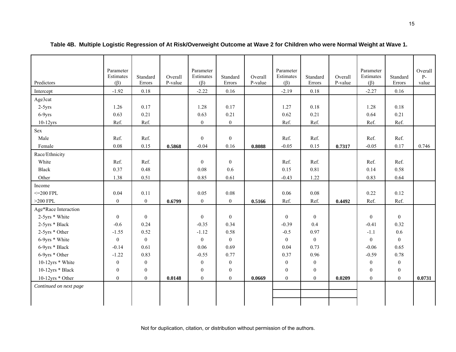|                        | Parameter        |                  |         | Parameter        |                  |         | Parameter        |                  |         | Parameter      |                  | Overall |
|------------------------|------------------|------------------|---------|------------------|------------------|---------|------------------|------------------|---------|----------------|------------------|---------|
|                        | Estimates        | Standard         | Overall | Estimates        | Standard         | Overall | Estimates        | Standard         | Overall | Estimates      | Standard         | $P-$    |
| Predictors             | $(\beta)$        | Errors           | P-value | $(\beta)$        | Errors           | P-value | $(\beta)$        | Errors           | P-value | $(\beta)$      | Errors           | value   |
| Intercept              | $-1.92$          | 0.18             |         | $-2.22$          | 0.16             |         | $-2.19$          | 0.18             |         | $-2.27$        | 0.16             |         |
| Age3cat                |                  |                  |         |                  |                  |         |                  |                  |         |                |                  |         |
| $2-5yrs$               | 1.26             | 0.17             |         | 1.28             | 0.17             |         | 1.27             | 0.18             |         | 1.28           | 0.18             |         |
| 6-9yrs                 | 0.63             | 0.21             |         | 0.63             | 0.21             |         | 0.62             | 0.21             |         | 0.64           | 0.21             |         |
| $10-12$ yrs            | Ref.             | Ref.             |         | $\boldsymbol{0}$ | $\overline{0}$   |         | Ref.             | Ref.             |         | Ref.           | Ref.             |         |
| Sex                    |                  |                  |         |                  |                  |         |                  |                  |         |                |                  |         |
| Male                   | Ref.             | Ref.             |         | $\overline{0}$   | $\overline{0}$   |         | Ref.             | Ref.             |         | Ref.           | Ref.             |         |
| Female                 | 0.08             | 0.15             | 0.5868  | $-0.04$          | 0.16             | 0.8088  | $-0.05$          | 0.15             | 0.7317  | $-0.05$        | 0.17             | 0.746   |
| Race/Ethnicity         |                  |                  |         |                  |                  |         |                  |                  |         |                |                  |         |
| White                  | Ref.             | Ref.             |         | $\overline{0}$   | $\overline{0}$   |         | Ref.             | Ref.             |         | Ref.           | Ref.             |         |
| Black                  | 0.37             | 0.48             |         | 0.08             | 0.6              |         | 0.15             | 0.81             |         | 0.14           | 0.58             |         |
| Other                  | 1.38             | 0.51             |         | 0.85             | 0.61             |         | $-0.43$          | 1.22             |         | 0.83           | 0.64             |         |
| Income                 |                  |                  |         |                  |                  |         |                  |                  |         |                |                  |         |
| $\leq$ 200 FPL         | 0.04             | 0.11             |         | 0.05             | 0.08             |         | 0.06             | 0.08             |         | 0.22           | 0.12             |         |
| $>200$ FPL             | $\overline{0}$   | $\overline{0}$   | 0.6799  | $\boldsymbol{0}$ | $\overline{0}$   | 0.5166  | Ref.             | Ref.             | 0.4492  | Ref.           | Ref.             |         |
| Age*Race Interaction   |                  |                  |         |                  |                  |         |                  |                  |         |                |                  |         |
| 2-5yrs * White         | $\boldsymbol{0}$ | $\mathbf{0}$     |         | $\mathbf{0}$     | $\overline{0}$   |         | $\boldsymbol{0}$ | $\bf{0}$         |         | $\overline{0}$ | $\overline{0}$   |         |
| 2-5yrs * Black         | $-0.6$           | 0.24             |         | $-0.35$          | 0.34             |         | $-0.39$          | 0.4              |         | $-0.41$        | 0.32             |         |
| 2-5yrs * Other         | $-1.55$          | 0.52             |         | $-1.12$          | 0.58             |         | $-0.5$           | 0.97             |         | $-1.1$         | 0.6              |         |
| 6-9yrs * White         | $\boldsymbol{0}$ | $\mathbf{0}$     |         | $\overline{0}$   | $\theta$         |         | $\overline{0}$   | $\boldsymbol{0}$ |         | $\theta$       | $\theta$         |         |
| 6-9yrs * Black         | $-0.14$          | 0.61             |         | 0.06             | 0.69             |         | 0.04             | 0.73             |         | $-0.06$        | 0.65             |         |
| 6-9yrs * Other         | $-1.22$          | 0.83             |         | $-0.55$          | 0.77             |         | 0.37             | 0.96             |         | $-0.59$        | 0.78             |         |
| 10-12yrs * White       | $\boldsymbol{0}$ | $\boldsymbol{0}$ |         | $\boldsymbol{0}$ | $\boldsymbol{0}$ |         | $\boldsymbol{0}$ | $\boldsymbol{0}$ |         | $\overline{0}$ | $\boldsymbol{0}$ |         |
| 10-12yrs * Black       | $\mathbf{0}$     | $\boldsymbol{0}$ |         | $\mathbf{0}$     | $\overline{0}$   |         | $\overline{0}$   | $\boldsymbol{0}$ |         | $\overline{0}$ | $\boldsymbol{0}$ |         |
| 10-12yrs * Other       | $\overline{0}$   | $\mathbf{0}$     | 0.0148  | $\overline{0}$   | $\overline{0}$   | 0.0669  | $\overline{0}$   | $\boldsymbol{0}$ | 0.0209  | $\overline{0}$ | $\overline{0}$   | 0.0731  |
| Continued on next page |                  |                  |         |                  |                  |         |                  |                  |         |                |                  |         |
|                        |                  |                  |         |                  |                  |         |                  |                  |         |                |                  |         |
|                        |                  |                  |         |                  |                  |         |                  |                  |         |                |                  |         |

**Table 4B. Multiple Logistic Regression of At Risk/Overweight Outcome at Wave 2 for Children who were Normal Weight at Wave 1.**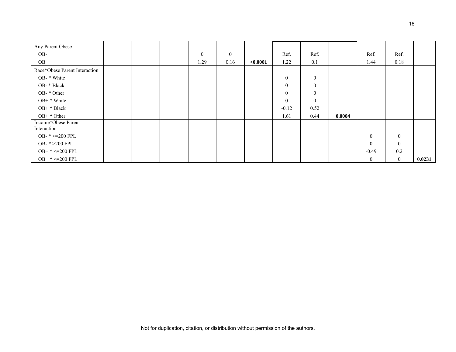| Any Parent Obese<br>OB-            |  | $\mathbf{0}$ | $\mathbf{0}$ |          | Ref.           | Ref.           |        | Ref.           | Ref.             |        |
|------------------------------------|--|--------------|--------------|----------|----------------|----------------|--------|----------------|------------------|--------|
| $OB+$                              |  | 1.29         | 0.16         | < 0.0001 | 1.22           | 0.1            |        | 1.44           | 0.18             |        |
| Race*Obese Parent Interaction      |  |              |              |          |                |                |        |                |                  |        |
| OB- * White                        |  |              |              |          | $\mathbf{0}$   | $\overline{0}$ |        |                |                  |        |
| OB- * Black                        |  |              |              |          | $\mathbf{0}$   | $\mathbf{0}$   |        |                |                  |        |
| OB-*Other                          |  |              |              |          | $\overline{0}$ | $\mathbf{0}$   |        |                |                  |        |
| $OB+$ * White                      |  |              |              |          | $\mathbf{0}$   | $\theta$       |        |                |                  |        |
| OB+ * Black                        |  |              |              |          | $-0.12$        | 0.52           |        |                |                  |        |
| $OB+ * Other$                      |  |              |              |          | 1.61           | 0.44           | 0.0004 |                |                  |        |
| Income*Obese Parent<br>Interaction |  |              |              |          |                |                |        |                |                  |        |
| OB- $* < = 200$ FPL                |  |              |              |          |                |                |        | $\overline{0}$ | $\boldsymbol{0}$ |        |
| OB- * > 200 FPL                    |  |              |              |          |                |                |        | $\theta$       | $\boldsymbol{0}$ |        |
| $OB+ * < = 200$ FPL                |  |              |              |          |                |                |        | $-0.49$        | 0.2              |        |
| $OB+ * < = 200$ FPL                |  |              |              |          |                |                |        | $\overline{0}$ | $\overline{0}$   | 0.0231 |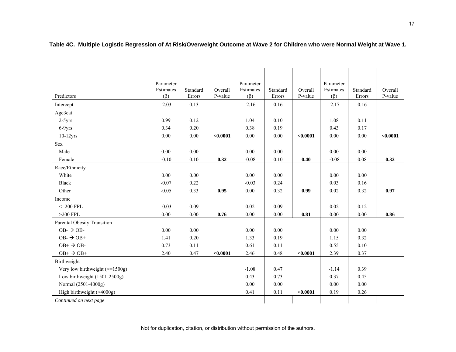|                                                | Parameter |          |          | Parameter |          |          | Parameter |          |          |
|------------------------------------------------|-----------|----------|----------|-----------|----------|----------|-----------|----------|----------|
|                                                | Estimates | Standard | Overall  | Estimates | Standard | Overall  | Estimates | Standard | Overall  |
| Predictors                                     | $(\beta)$ | Errors   | P-value  | $(\beta)$ | Errors   | P-value  | $(\beta)$ | Errors   | P-value  |
| Intercept                                      | $-2.03$   | 0.13     |          | $-2.16$   | 0.16     |          | $-2.17$   | 0.16     |          |
| Age3cat                                        |           |          |          |           |          |          |           |          |          |
| $2-5yrs$                                       | 0.99      | 0.12     |          | 1.04      | 0.10     |          | 1.08      | 0.11     |          |
| $6-9yrs$                                       | 0.34      | 0.20     |          | 0.38      | 0.19     |          | 0.43      | 0.17     |          |
| $10-12$ yrs                                    | 0.00      | 0.00     | < 0.0001 | 0.00      | 0.00     | < 0.0001 | 0.00      | 0.00     | < 0.0001 |
| Sex                                            |           |          |          |           |          |          |           |          |          |
| Male                                           | 0.00      | 0.00     |          | 0.00      | 0.00     |          | 0.00      | 0.00     |          |
| Female                                         | $-0.10$   | 0.10     | 0.32     | $-0.08$   | 0.10     | 0.40     | $-0.08$   | 0.08     | 0.32     |
| Race/Ethnicity                                 |           |          |          |           |          |          |           |          |          |
| White                                          | 0.00      | 0.00     |          | 0.00      | 0.00     |          | 0.00      | 0.00     |          |
| <b>Black</b>                                   | $-0.07$   | 0.22     |          | $-0.03$   | 0.24     |          | 0.03      | 0.16     |          |
| Other                                          | $-0.05$   | 0.33     | 0.95     | 0.00      | 0.32     | 0.99     | 0.02      | 0.32     | 0.97     |
| Income                                         |           |          |          |           |          |          |           |          |          |
| $\leq$ 200 FPL                                 | $-0.03$   | 0.09     |          | 0.02      | 0.09     |          | 0.02      | 0.12     |          |
| $>200$ FPL                                     | 0.00      | 0.00     | 0.76     | 0.00      | 0.00     | 0.81     | 0.00      | 0.00     | 0.86     |
| Parental Obesity Transition                    |           |          |          |           |          |          |           |          |          |
| $OB - \rightarrow OB -$                        | 0.00      | 0.00     |          | 0.00      | 0.00     |          | 0.00      | 0.00     |          |
| $OB - \rightarrow OB +$                        | 1.41      | 0.20     |          | 1.33      | 0.19     |          | 1.15      | 0.32     |          |
| $OB+$ $\rightarrow$ OB-                        | 0.73      | 0.11     |          | 0.61      | 0.11     |          | 0.55      | 0.10     |          |
| $OB^+ \rightarrow OB^+$                        | 2.40      | 0.47     | < 0.0001 | 2.46      | 0.48     | < 0.0001 | 2.39      | 0.37     |          |
| Birthweight                                    |           |          |          |           |          |          |           |          |          |
| Very low birthweight $\left(\leq 1500g\right)$ |           |          |          | $-1.08$   | 0.47     |          | $-1.14$   | 0.39     |          |
| Low birthweight $(1501-2500g)$                 |           |          |          | 0.43      | 0.73     |          | 0.37      | 0.45     |          |
| Normal (2501-4000g)                            |           |          |          | 0.00      | 0.00     |          | 0.00      | 0.00     |          |
| High birthweight $($ >4000g)                   |           |          |          | 0.41      | 0.11     | < 0.0001 | 0.19      | 0.26     |          |
| Continued on next page                         |           |          |          |           |          |          |           |          |          |

**Table 4C. Multiple Logistic Regression of At Risk/Overweight Outcome at Wave 2 for Children who were Normal Weight at Wave 1.**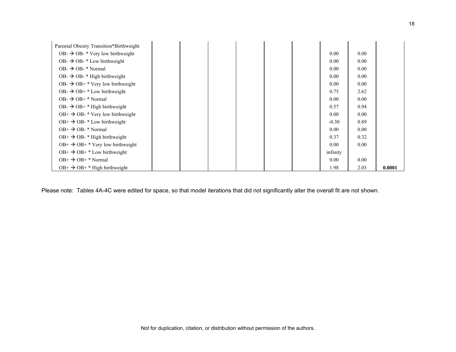| Parental Obesity Transition*Birthweight               |  |  |  |          |      |        |
|-------------------------------------------------------|--|--|--|----------|------|--------|
| $OB - \rightarrow OB - * \text{Very low birthweight}$ |  |  |  | 0.00     | 0.00 |        |
| $OB - \rightarrow OB - * Low birth weight$            |  |  |  | 0.00     | 0.00 |        |
| $OB - \rightarrow OB - * Normal$                      |  |  |  | 0.00     | 0.00 |        |
| $OB - \rightarrow OB - * High birth weight$           |  |  |  | 0.00     | 0.00 |        |
| OB- $\rightarrow$ OB+ * Very low birthweight          |  |  |  | 0.00     | 0.00 |        |
| $OB - \rightarrow OB + * Low birth weight$            |  |  |  | 0.75     | 2.62 |        |
| $OB - \rightarrow OB + * Normal$                      |  |  |  | 0.00     | 0.00 |        |
| OB- $\rightarrow$ OB+ * High birthweight              |  |  |  | 0.57     | 0.94 |        |
| $OB^+ \rightarrow OB^-$ Very low birthweight          |  |  |  | 0.00     | 0.00 |        |
| $OB^+ \rightarrow OB^-$ * Low birthweight             |  |  |  | $-0.30$  | 0.89 |        |
| $OB^+ \rightarrow OB^-$ Normal                        |  |  |  | 0.00     | 0.00 |        |
| $OB^+ \rightarrow OB^-$ * High birthweight            |  |  |  | 0.37     | 0.32 |        |
| $OB^+ \rightarrow OB^+$ * Very low birthweight        |  |  |  | 0.00     | 0.00 |        |
| $OB^+ \rightarrow OB^+$ Low birthweight               |  |  |  | infinity |      |        |
| $OB^+ \rightarrow OB^+$ Normal                        |  |  |  | 0.00     | 0.00 |        |
| $OB^+ \rightarrow OB^+$ + High birthweight            |  |  |  | 1.98     | 2.03 | 0.0001 |

Please note: Tables 4A-4C were edited for space, so that model iterations that did not significantly alter the overall fit are not shown.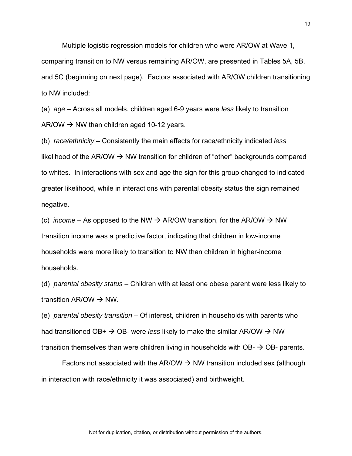Multiple logistic regression models for children who were AR/OW at Wave 1, comparing transition to NW versus remaining AR/OW, are presented in Tables 5A, 5B, and 5C (beginning on next page). Factors associated with AR/OW children transitioning to NW included:

(a) *age* – Across all models, children aged 6-9 years were *less* likely to transition  $AR/OW \rightarrow NW$  than children aged 10-12 years.

(b) *race/ethnicity* – Consistently the main effects for race/ethnicity indicated *less* likelihood of the AR/OW  $\rightarrow$  NW transition for children of "other" backgrounds compared to whites. In interactions with sex and age the sign for this group changed to indicated greater likelihood, while in interactions with parental obesity status the sign remained negative.

(c) *income* – As opposed to the NW  $\rightarrow$  AR/OW transition, for the AR/OW  $\rightarrow$  NW transition income was a predictive factor, indicating that children in low-income households were more likely to transition to NW than children in higher-income households.

(d) *parental obesity status* – Children with at least one obese parent were less likely to transition AR/OW  $\rightarrow$  NW.

(e) *parental obesity transition* – Of interest, children in households with parents who had transitioned OB+  $\rightarrow$  OB- were *less* likely to make the similar AR/OW  $\rightarrow$  NW transition themselves than were children living in households with  $OB - \rightarrow OB$ - parents.

Factors not associated with the AR/OW  $\rightarrow$  NW transition included sex (although in interaction with race/ethnicity it was associated) and birthweight.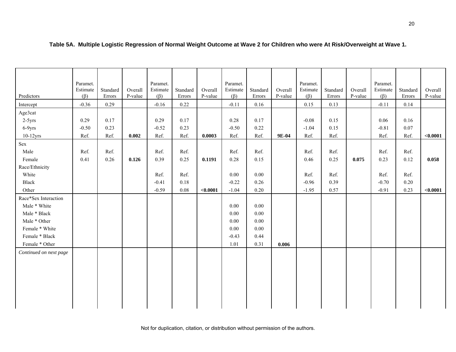| Predictors             | Paramet.<br>Estimate<br>$(\beta)$ | Standard<br>Errors | Overall<br>P-value | Paramet.<br>Estimate<br>$(\beta)$ | Standard<br>Errors | Overall<br>P-value | Paramet.<br>Estimate<br>$(\beta)$ | Standard<br>Errors | Overall<br>P-value | Paramet.<br>Estimate<br>$(\beta)$ | Standard<br>Errors | Overall<br>P-value | Paramet.<br>Estimate<br>$(\beta)$ | Standard<br>Errors | Overall<br>P-value |
|------------------------|-----------------------------------|--------------------|--------------------|-----------------------------------|--------------------|--------------------|-----------------------------------|--------------------|--------------------|-----------------------------------|--------------------|--------------------|-----------------------------------|--------------------|--------------------|
| Intercept              | $-0.36$                           | 0.29               |                    | $-0.16$                           | 0.22               |                    | $-0.11$                           | 0.16               |                    | 0.15                              | 0.13               |                    | $-0.11$                           | 0.14               |                    |
| Age3cat                |                                   |                    |                    |                                   |                    |                    |                                   |                    |                    |                                   |                    |                    |                                   |                    |                    |
| $2-5yrs$               | 0.29                              | 0.17               |                    | 0.29                              | 0.17               |                    | 0.28                              | 0.17               |                    | $-0.08$                           | 0.15               |                    | 0.06                              | 0.16               |                    |
| $6-9yrs$               | $-0.50$                           | 0.23               |                    | $-0.52$                           | 0.23               |                    | $-0.50$                           | 0.22               |                    | $-1.04$                           | 0.15               |                    | $-0.81$                           | 0.07               |                    |
| $10-12$ yrs            | Ref.                              | Ref.               | 0.002              | Ref.                              | Ref.               | 0.0003             | Ref.                              | Ref.               | 9E-04              | Ref.                              | Ref.               |                    | Ref.                              | Ref.               | < 0.0001           |
| Sex                    |                                   |                    |                    |                                   |                    |                    |                                   |                    |                    |                                   |                    |                    |                                   |                    |                    |
| Male                   | Ref.                              | Ref.               |                    | Ref.                              | Ref.               |                    | Ref.                              | Ref.               |                    | Ref.                              | Ref.               |                    | Ref.                              | Ref.               |                    |
| Female                 | 0.41                              | 0.26               | 0.126              | 0.39                              | 0.25               | 0.1191             | $0.28\,$                          | 0.15               |                    | 0.46                              | 0.25               | 0.075              | 0.23                              | 0.12               | 0.058              |
| Race/Ethnicity         |                                   |                    |                    |                                   |                    |                    |                                   |                    |                    |                                   |                    |                    |                                   |                    |                    |
| White                  |                                   |                    |                    | Ref.                              | Ref.               |                    | $0.00\,$                          | 0.00               |                    | Ref.                              | Ref.               |                    | Ref.                              | Ref.               |                    |
| Black                  |                                   |                    |                    | $-0.41$                           | 0.18               |                    | $-0.22$                           | 0.26               |                    | $-0.96$                           | 0.39               |                    | $-0.70$                           | 0.20               |                    |
| Other                  |                                   |                    |                    | $-0.59$                           | $0.08\,$           | < 0.0001           | $-1.04$                           | 0.20               |                    | $-1.95$                           | 0.57               |                    | $-0.91$                           | 0.23               | < 0.0001           |
| Race*Sex Interaction   |                                   |                    |                    |                                   |                    |                    |                                   |                    |                    |                                   |                    |                    |                                   |                    |                    |
| Male * White           |                                   |                    |                    |                                   |                    |                    | 0.00                              | 0.00               |                    |                                   |                    |                    |                                   |                    |                    |
| Male * Black           |                                   |                    |                    |                                   |                    |                    | $0.00\,$                          | 0.00               |                    |                                   |                    |                    |                                   |                    |                    |
| Male * Other           |                                   |                    |                    |                                   |                    |                    | 0.00                              | 0.00               |                    |                                   |                    |                    |                                   |                    |                    |
| Female * White         |                                   |                    |                    |                                   |                    |                    | $0.00\,$                          | 0.00               |                    |                                   |                    |                    |                                   |                    |                    |
| Female * Black         |                                   |                    |                    |                                   |                    |                    | $-0.43$                           | 0.44               |                    |                                   |                    |                    |                                   |                    |                    |
| Female * Other         |                                   |                    |                    |                                   |                    |                    | 1.01                              | 0.31               | 0.006              |                                   |                    |                    |                                   |                    |                    |
| Continued on next page |                                   |                    |                    |                                   |                    |                    |                                   |                    |                    |                                   |                    |                    |                                   |                    |                    |
|                        |                                   |                    |                    |                                   |                    |                    |                                   |                    |                    |                                   |                    |                    |                                   |                    |                    |
|                        |                                   |                    |                    |                                   |                    |                    |                                   |                    |                    |                                   |                    |                    |                                   |                    |                    |
|                        |                                   |                    |                    |                                   |                    |                    |                                   |                    |                    |                                   |                    |                    |                                   |                    |                    |
|                        |                                   |                    |                    |                                   |                    |                    |                                   |                    |                    |                                   |                    |                    |                                   |                    |                    |
|                        |                                   |                    |                    |                                   |                    |                    |                                   |                    |                    |                                   |                    |                    |                                   |                    |                    |
|                        |                                   |                    |                    |                                   |                    |                    |                                   |                    |                    |                                   |                    |                    |                                   |                    |                    |
|                        |                                   |                    |                    |                                   |                    |                    |                                   |                    |                    |                                   |                    |                    |                                   |                    |                    |

## **Table 5A. Multiple Logistic Regression of Normal Weight Outcome at Wave 2 for Children who were At Risk/Overweight at Wave 1.**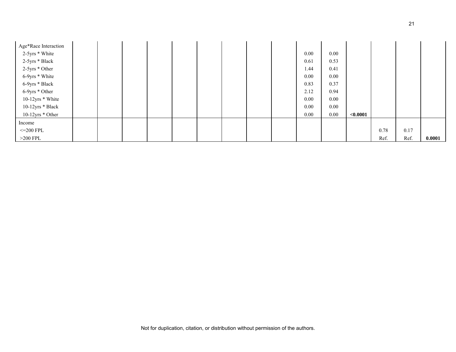| Age*Race Interaction |  |  |  |  |          |      |             |      |      |        |
|----------------------|--|--|--|--|----------|------|-------------|------|------|--------|
| 2-5yrs * White       |  |  |  |  | 0.00     | 0.00 |             |      |      |        |
| 2-5yrs * Black       |  |  |  |  | 0.61     | 0.53 |             |      |      |        |
| 2-5yrs * Other       |  |  |  |  | 1.44     | 0.41 |             |      |      |        |
| 6-9yrs * White       |  |  |  |  | 0.00     | 0.00 |             |      |      |        |
| 6-9yrs * Black       |  |  |  |  | 0.83     | 0.37 |             |      |      |        |
| 6-9yrs * Other       |  |  |  |  | 2.12     | 0.94 |             |      |      |        |
| 10-12yrs * White     |  |  |  |  | 0.00     | 0.00 |             |      |      |        |
| 10-12yrs * Black     |  |  |  |  | 0.00     | 0.00 |             |      |      |        |
| $10-12$ yrs * Other  |  |  |  |  | $0.00\,$ | 0.00 | ${<}0.0001$ |      |      |        |
| Income               |  |  |  |  |          |      |             |      |      |        |
| $\leq$ 200 FPL       |  |  |  |  |          |      |             | 0.78 | 0.17 |        |
| $>200$ FPL           |  |  |  |  |          |      |             | Ref. | Ref. | 0.0001 |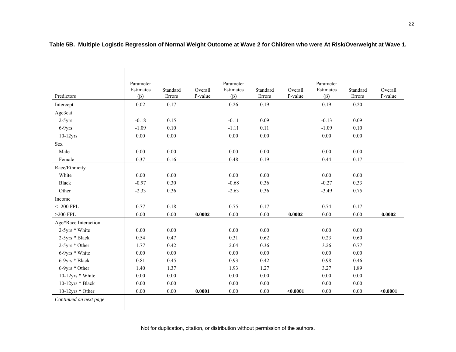| Predictors             | Parameter<br>Estimates<br>$(\beta)$ | Standard<br>Errors | Overall<br>P-value | Parameter<br>Estimates<br>$(\beta)$ | Standard<br>Errors | Overall<br>P-value | Parameter<br>Estimates<br>$(\beta)$ | Standard<br>Errors | Overall<br>P-value |
|------------------------|-------------------------------------|--------------------|--------------------|-------------------------------------|--------------------|--------------------|-------------------------------------|--------------------|--------------------|
| Intercept              | 0.02                                | 0.17               |                    | 0.26                                | 0.19               |                    | 0.19                                | $0.20\,$           |                    |
| Age3cat                |                                     |                    |                    |                                     |                    |                    |                                     |                    |                    |
| $2-5yrs$               | $-0.18$                             | 0.15               |                    | $-0.11$                             | 0.09               |                    | $-0.13$                             | 0.09               |                    |
| 6-9yrs                 | $-1.09$                             | 0.10               |                    | $-1.11$                             | 0.11               |                    | $-1.09$                             | 0.10               |                    |
| $10-12$ yrs            | 0.00                                | 0.00               |                    | 0.00                                | 0.00               |                    | 0.00                                | 0.00               |                    |
| Sex                    |                                     |                    |                    |                                     |                    |                    |                                     |                    |                    |
| Male                   | 0.00                                | 0.00               |                    | 0.00                                | 0.00               |                    | 0.00                                | 0.00               |                    |
| Female                 | 0.37                                | 0.16               |                    | 0.48                                | 0.19               |                    | 0.44                                | 0.17               |                    |
| Race/Ethnicity         |                                     |                    |                    |                                     |                    |                    |                                     |                    |                    |
| White                  | 0.00                                | 0.00               |                    | 0.00                                | 0.00               |                    | 0.00                                | 0.00               |                    |
| Black                  | $-0.97$                             | 0.30               |                    | $-0.68$                             | 0.36               |                    | $-0.27$                             | 0.33               |                    |
| Other                  | $-2.33$                             | 0.36               |                    | $-2.63$                             | 0.36               |                    | $-3.49$                             | 0.75               |                    |
| Income                 |                                     |                    |                    |                                     |                    |                    |                                     |                    |                    |
| $\leq$ 200 FPL         | 0.77                                | 0.18               |                    | 0.75                                | 0.17               |                    | 0.74                                | 0.17               |                    |
| $>200$ FPL             | 0.00                                | 0.00               | 0.0002             | 0.00                                | 0.00               | 0.0002             | 0.00                                | 0.00               | 0.0002             |
| Age*Race Interaction   |                                     |                    |                    |                                     |                    |                    |                                     |                    |                    |
| 2-5yrs * White         | 0.00                                | 0.00               |                    | 0.00                                | 0.00               |                    | 0.00                                | 0.00               |                    |
| 2-5yrs * Black         | 0.54                                | 0.47               |                    | 0.31                                | 0.62               |                    | 0.23                                | 0.60               |                    |
| 2-5yrs * Other         | 1.77                                | 0.42               |                    | 2.04                                | 0.36               |                    | 3.26                                | 0.77               |                    |
| 6-9yrs * White         | 0.00                                | 0.00               |                    | 0.00                                | 0.00               |                    | 0.00                                | 0.00               |                    |
| 6-9yrs * Black         | 0.81                                | 0.45               |                    | 0.93                                | 0.42               |                    | 0.98                                | 0.46               |                    |
| 6-9yrs * Other         | 1.40                                | 1.37               |                    | 1.93                                | 1.27               |                    | 3.27                                | 1.89               |                    |
| 10-12yrs * White       | 0.00                                | 0.00               |                    | 0.00                                | 0.00               |                    | 0.00                                | 0.00               |                    |
| 10-12yrs * Black       | 0.00                                | 0.00               |                    | 0.00                                | 0.00               |                    | 0.00                                | 0.00               |                    |
| 10-12yrs * Other       | $0.00\,$                            | $0.00\,$           | 0.0001             | $0.00\,$                            | $0.00\,$           | < 0.0001           | $0.00\,$                            | $0.00\,$           | < 0.0001           |
| Continued on next page |                                     |                    |                    |                                     |                    |                    |                                     |                    |                    |
|                        |                                     |                    |                    |                                     |                    |                    |                                     |                    |                    |

**Table 5B. Multiple Logistic Regression of Normal Weight Outcome at Wave 2 for Children who were At Risk/Overweight at Wave 1.**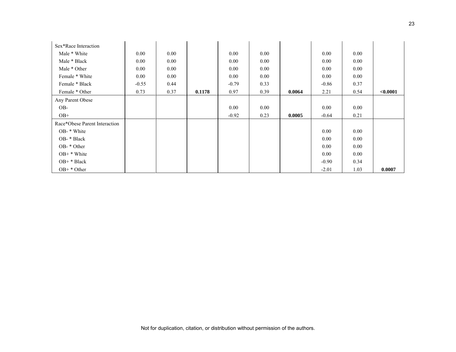| Sex*Race Interaction          |         |          |        |         |          |        |          |      |          |
|-------------------------------|---------|----------|--------|---------|----------|--------|----------|------|----------|
| Male * White                  | 0.00    | 0.00     |        | 0.00    | 0.00     |        | 0.00     | 0.00 |          |
| Male * Black                  | 0.00    | 0.00     |        | 0.00    | $0.00\,$ |        | 0.00     | 0.00 |          |
| Male * Other                  | 0.00    | $0.00\,$ |        | 0.00    | 0.00     |        | 0.00     | 0.00 |          |
| Female * White                | 0.00    | 0.00     |        | 0.00    | 0.00     |        | 0.00     | 0.00 |          |
| Female * Black                | $-0.55$ | 0.44     |        | $-0.79$ | 0.33     |        | $-0.86$  | 0.37 |          |
| Female * Other                | 0.73    | 0.37     | 0.1178 | 0.97    | 0.39     | 0.0064 | 2.21     | 0.54 | < 0.0001 |
| Any Parent Obese              |         |          |        |         |          |        |          |      |          |
| OB-                           |         |          |        | 0.00    | 0.00     |        | $0.00\,$ | 0.00 |          |
| $OB+$                         |         |          |        | $-0.92$ | 0.23     | 0.0005 | $-0.64$  | 0.21 |          |
| Race*Obese Parent Interaction |         |          |        |         |          |        |          |      |          |
| OB- * White                   |         |          |        |         |          |        | 0.00     | 0.00 |          |
| OB- * Black                   |         |          |        |         |          |        | 0.00     | 0.00 |          |
| OB- * Other                   |         |          |        |         |          |        | 0.00     | 0.00 |          |
| $OB+$ * White                 |         |          |        |         |          |        | 0.00     | 0.00 |          |
| OB+ * Black                   |         |          |        |         |          |        | $-0.90$  | 0.34 |          |
| $OB+ * Other$                 |         |          |        |         |          |        | $-2.01$  | 1.03 | 0.0007   |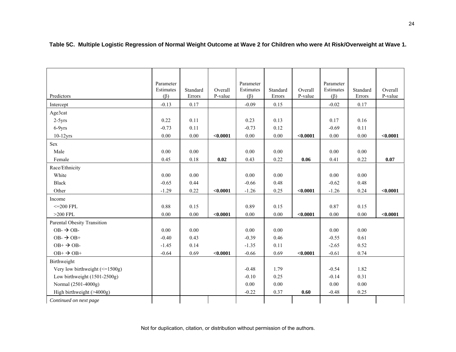|                                                | Parameter |          |          | Parameter |          |          | Parameter |          |          |
|------------------------------------------------|-----------|----------|----------|-----------|----------|----------|-----------|----------|----------|
|                                                | Estimates | Standard | Overall  | Estimates | Standard | Overall  | Estimates | Standard | Overall  |
| Predictors                                     | $(\beta)$ | Errors   | P-value  | $(\beta)$ | Errors   | P-value  | $(\beta)$ | Errors   | P-value  |
| Intercept                                      | $-0.13$   | 0.17     |          | $-0.09$   | 0.15     |          | $-0.02$   | 0.17     |          |
| Age3cat                                        |           |          |          |           |          |          |           |          |          |
| $2-5yrs$                                       | 0.22      | 0.11     |          | 0.23      | 0.13     |          | 0.17      | 0.16     |          |
| 6-9yrs                                         | $-0.73$   | 0.11     |          | $-0.73$   | 0.12     |          | $-0.69$   | 0.11     |          |
| $10-12$ yrs                                    | 0.00      | 0.00     | < 0.0001 | $0.00\,$  | 0.00     | < 0.0001 | $0.00\,$  | $0.00\,$ | < 0.0001 |
| Sex                                            |           |          |          |           |          |          |           |          |          |
| Male                                           | 0.00      | 0.00     |          | 0.00      | 0.00     |          | 0.00      | 0.00     |          |
| Female                                         | 0.45      | $0.18\,$ | 0.02     | 0.43      | 0.22     | 0.06     | 0.41      | 0.22     | 0.07     |
| Race/Ethnicity                                 |           |          |          |           |          |          |           |          |          |
| White                                          | 0.00      | 0.00     |          | 0.00      | 0.00     |          | 0.00      | 0.00     |          |
| <b>Black</b>                                   | $-0.65$   | 0.44     |          | $-0.66$   | 0.48     |          | $-0.62$   | 0.48     |          |
| Other                                          | $-1.29$   | 0.22     | < 0.0001 | $-1.26$   | 0.25     | < 0.0001 | $-1.26$   | 0.24     | < 0.0001 |
| Income                                         |           |          |          |           |          |          |           |          |          |
| $\leq$ 200 FPL                                 | 0.88      | 0.15     |          | 0.89      | 0.15     |          | 0.87      | 0.15     |          |
| $>200$ FPL                                     | 0.00      | 0.00     | < 0.0001 | 0.00      | 0.00     | < 0.0001 | 0.00      | 0.00     | < 0.0001 |
| Parental Obesity Transition                    |           |          |          |           |          |          |           |          |          |
| $OB - \rightarrow OB -$                        | 0.00      | 0.00     |          | 0.00      | 0.00     |          | 0.00      | 0.00     |          |
| $OB - \rightarrow OB +$                        | $-0.40$   | 0.43     |          | $-0.39$   | 0.46     |          | $-0.55$   | 0.61     |          |
| $OB+$ $\rightarrow$ OB-                        | $-1.45$   | 0.14     |          | $-1.35$   | 0.11     |          | $-2.65$   | 0.52     |          |
| $OB^+ \rightarrow OB^+$                        | $-0.64$   | 0.69     | < 0.0001 | $-0.66$   | 0.69     | < 0.0001 | $-0.61$   | 0.74     |          |
| Birthweight                                    |           |          |          |           |          |          |           |          |          |
| Very low birthweight $\left(\leq 1500g\right)$ |           |          |          | $-0.48$   | 1.79     |          | $-0.54$   | 1.82     |          |
| Low birthweight $(1501-2500g)$                 |           |          |          | $-0.10$   | 0.25     |          | $-0.14$   | 0.31     |          |
| Normal (2501-4000g)                            |           |          |          | 0.00      | 0.00     |          | 0.00      | 0.00     |          |
| High birthweight (>4000g)                      |           |          |          | $-0.22$   | 0.37     | 0.60     | $-0.48$   | 0.25     |          |
| Continued on next page                         |           |          |          |           |          |          |           |          |          |

**Table 5C. Multiple Logistic Regression of Normal Weight Outcome at Wave 2 for Children who were At Risk/Overweight at Wave 1.**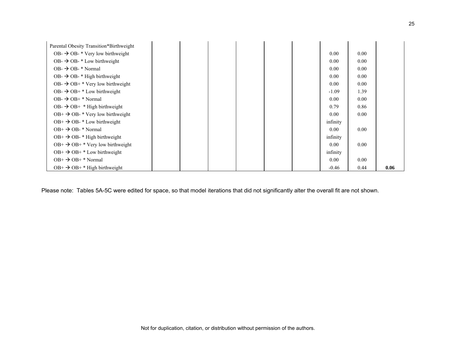| Parental Obesity Transition*Birthweight        |  |  |          |      |      |
|------------------------------------------------|--|--|----------|------|------|
| OB- $\rightarrow$ OB- $*$ Very low birthweight |  |  | 0.00     | 0.00 |      |
| $OB$ - $\rightarrow$ OB- $*$ Low birthweight   |  |  | 0.00     | 0.00 |      |
| $OB - \rightarrow OB - * Normal$               |  |  | 0.00     | 0.00 |      |
| $OB \rightarrow$ OB- $*$ High birthweight      |  |  | 0.00     | 0.00 |      |
| OB- $\rightarrow$ OB+ * Very low birthweight   |  |  | 0.00     | 0.00 |      |
| OB- $\rightarrow$ OB+ * Low birthweight        |  |  | $-1.09$  | 1.39 |      |
| $OB \rightarrow$ $OB+$ * Normal                |  |  | 0.00     | 0.00 |      |
| OB- $\rightarrow$ OB+ $*$ High birthweight     |  |  | 0.79     | 0.86 |      |
| $OB^+ \rightarrow OB^-$ * Very low birthweight |  |  | 0.00     | 0.00 |      |
| $OB^+ \rightarrow OB^-$ Low birthweight        |  |  | infinity |      |      |
| $OB^+ \rightarrow OB^-$ Normal                 |  |  | 0.00     | 0.00 |      |
| $OB^+ \rightarrow OB^-$ * High birthweight     |  |  | infinity |      |      |
| $OB^+ \rightarrow OB^+$ Yery low birthweight   |  |  | 0.00     | 0.00 |      |
| $OB^+ \rightarrow OB^+$ Low birthweight        |  |  | infinity |      |      |
| $OB^+ \rightarrow OB^+$ Normal                 |  |  | 0.00     | 0.00 |      |
| $OB^+ \rightarrow OB^+$ + High birthweight     |  |  | $-0.46$  | 0.44 | 0.06 |

Please note: Tables 5A-5C were edited for space, so that model iterations that did not significantly alter the overall fit are not shown.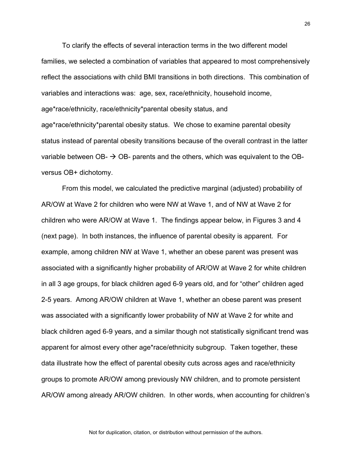To clarify the effects of several interaction terms in the two different model families, we selected a combination of variables that appeared to most comprehensively reflect the associations with child BMI transitions in both directions. This combination of variables and interactions was: age, sex, race/ethnicity, household income, age\*race/ethnicity, race/ethnicity\*parental obesity status, and age\*race/ethnicity\*parental obesity status. We chose to examine parental obesity status instead of parental obesity transitions because of the overall contrast in the latter variable between OB-  $\rightarrow$  OB- parents and the others, which was equivalent to the OBversus OB+ dichotomy.

From this model, we calculated the predictive marginal (adjusted) probability of AR/OW at Wave 2 for children who were NW at Wave 1, and of NW at Wave 2 for children who were AR/OW at Wave 1. The findings appear below, in Figures 3 and 4 (next page). In both instances, the influence of parental obesity is apparent. For example, among children NW at Wave 1, whether an obese parent was present was associated with a significantly higher probability of AR/OW at Wave 2 for white children in all 3 age groups, for black children aged 6-9 years old, and for "other" children aged 2-5 years. Among AR/OW children at Wave 1, whether an obese parent was present was associated with a significantly lower probability of NW at Wave 2 for white and black children aged 6-9 years, and a similar though not statistically significant trend was apparent for almost every other age\*race/ethnicity subgroup. Taken together, these data illustrate how the effect of parental obesity cuts across ages and race/ethnicity groups to promote AR/OW among previously NW children, and to promote persistent AR/OW among already AR/OW children. In other words, when accounting for children's

Not for duplication, citation, or distribution without permission of the authors.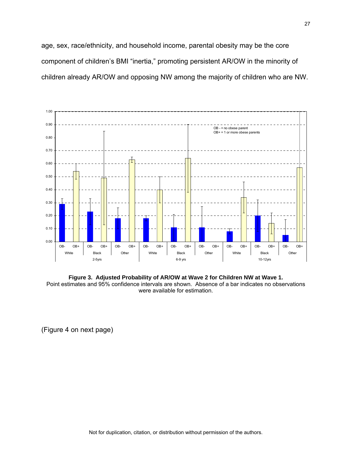age, sex, race/ethnicity, and household income, parental obesity may be the core component of children's BMI "inertia," promoting persistent AR/OW in the minority of children already AR/OW and opposing NW among the majority of children who are NW.



**Figure 3. Adjusted Probability of AR/OW at Wave 2 for Children NW at Wave 1.** Point estimates and 95% confidence intervals are shown. Absence of a bar indicates no observations were available for estimation.

(Figure 4 on next page)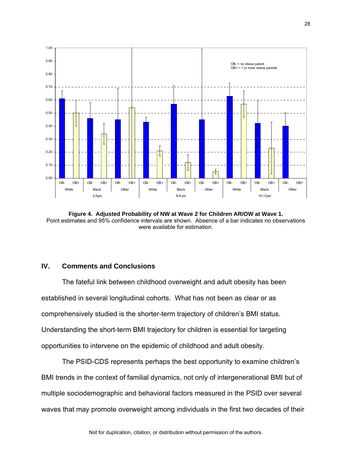

**Figure 4. Adjusted Probability of NW at Wave 2 for Children AR/OW at Wave 1.** Point estimates and 95% confidence intervals are shown. Absence of a bar indicates no observations were available for estimation.

# **IV. Comments and Conclusions**

The fateful link between childhood overweight and adult obesity has been established in several longitudinal cohorts. What has not been as clear or as comprehensively studied is the shorter-term trajectory of children's BMI status. Understanding the short-term BMI trajectory for children is essential for targeting opportunities to intervene on the epidemic of childhood and adult obesity.

The PSID-CDS represents perhaps the best opportunity to examine children's BMI trends in the context of familial dynamics, not only of intergenerational BMI but of multiple sociodemographic and behavioral factors measured in the PSID over several waves that may promote overweight among individuals in the first two decades of their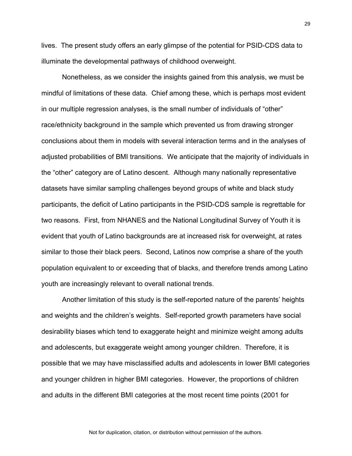lives. The present study offers an early glimpse of the potential for PSID-CDS data to illuminate the developmental pathways of childhood overweight.

Nonetheless, as we consider the insights gained from this analysis, we must be mindful of limitations of these data. Chief among these, which is perhaps most evident in our multiple regression analyses, is the small number of individuals of "other" race/ethnicity background in the sample which prevented us from drawing stronger conclusions about them in models with several interaction terms and in the analyses of adjusted probabilities of BMI transitions. We anticipate that the majority of individuals in the "other" category are of Latino descent. Although many nationally representative datasets have similar sampling challenges beyond groups of white and black study participants, the deficit of Latino participants in the PSID-CDS sample is regrettable for two reasons. First, from NHANES and the National Longitudinal Survey of Youth it is evident that youth of Latino backgrounds are at increased risk for overweight, at rates similar to those their black peers. Second, Latinos now comprise a share of the youth population equivalent to or exceeding that of blacks, and therefore trends among Latino youth are increasingly relevant to overall national trends.

Another limitation of this study is the self-reported nature of the parents' heights and weights and the children's weights. Self-reported growth parameters have social desirability biases which tend to exaggerate height and minimize weight among adults and adolescents, but exaggerate weight among younger children. Therefore, it is possible that we may have misclassified adults and adolescents in lower BMI categories and younger children in higher BMI categories. However, the proportions of children and adults in the different BMI categories at the most recent time points (2001 for

29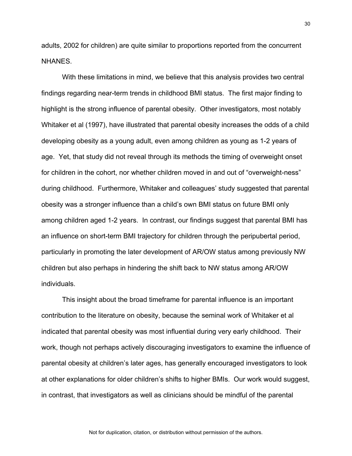adults, 2002 for children) are quite similar to proportions reported from the concurrent NHANES.

With these limitations in mind, we believe that this analysis provides two central findings regarding near-term trends in childhood BMI status. The first major finding to highlight is the strong influence of parental obesity. Other investigators, most notably Whitaker et al (1997), have illustrated that parental obesity increases the odds of a child developing obesity as a young adult, even among children as young as 1-2 years of age. Yet, that study did not reveal through its methods the timing of overweight onset for children in the cohort, nor whether children moved in and out of "overweight-ness" during childhood. Furthermore, Whitaker and colleagues' study suggested that parental obesity was a stronger influence than a child's own BMI status on future BMI only among children aged 1-2 years. In contrast, our findings suggest that parental BMI has an influence on short-term BMI trajectory for children through the peripubertal period, particularly in promoting the later development of AR/OW status among previously NW children but also perhaps in hindering the shift back to NW status among AR/OW individuals.

This insight about the broad timeframe for parental influence is an important contribution to the literature on obesity, because the seminal work of Whitaker et al indicated that parental obesity was most influential during very early childhood. Their work, though not perhaps actively discouraging investigators to examine the influence of parental obesity at children's later ages, has generally encouraged investigators to look at other explanations for older children's shifts to higher BMIs. Our work would suggest, in contrast, that investigators as well as clinicians should be mindful of the parental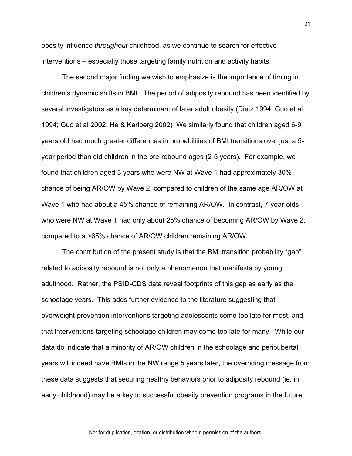obesity influence *throughout* childhood, as we continue to search for effective interventions – especially those targeting family nutrition and activity habits.

The second major finding we wish to emphasize is the importance of timing in children's dynamic shifts in BMI. The period of adiposity rebound has been identified by several investigators as a key determinant of later adult obesity.(Dietz 1994; Guo et al 1994; Guo et al 2002; He & Karlberg 2002) We similarly found that children aged 6-9 years old had much greater differences in probabilities of BMI transitions over just a 5 year period than did children in the pre-rebound ages (2-5 years). For example, we found that children aged 3 years who were NW at Wave 1 had approximately 30% chance of being AR/OW by Wave 2, compared to children of the same age AR/OW at Wave 1 who had about a 45% chance of remaining AR/OW. In contrast, 7-year-olds who were NW at Wave 1 had only about 25% chance of becoming AR/OW by Wave 2, compared to a >65% chance of AR/OW children remaining AR/OW.

The contribution of the present study is that the BMI transition probability "gap" related to adiposity rebound is not only a phenomenon that manifests by young adulthood. Rather, the PSID-CDS data reveal footprints of this gap as early as the schoolage years. This adds further evidence to the literature suggesting that overweight-prevention interventions targeting adolescents come too late for most, and that interventions targeting schoolage children may come too late for many. While our data do indicate that a minority of AR/OW children in the schoolage and peripubertal years will indeed have BMIs in the NW range 5 years later, the overriding message from these data suggests that securing healthy behaviors prior to adiposity rebound (ie, in early childhood) may be a key to successful obesity prevention programs in the future.

Not for duplication, citation, or distribution without permission of the authors.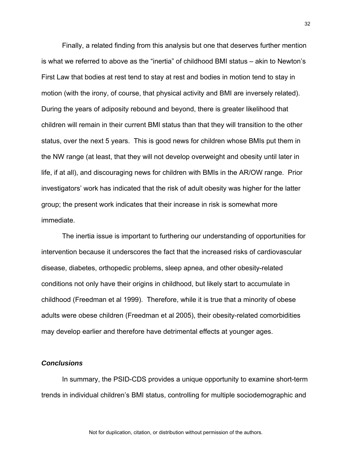Finally, a related finding from this analysis but one that deserves further mention is what we referred to above as the "inertia" of childhood BMI status – akin to Newton's First Law that bodies at rest tend to stay at rest and bodies in motion tend to stay in motion (with the irony, of course, that physical activity and BMI are inversely related). During the years of adiposity rebound and beyond, there is greater likelihood that children will remain in their current BMI status than that they will transition to the other status, over the next 5 years. This is good news for children whose BMIs put them in the NW range (at least, that they will not develop overweight and obesity until later in life, if at all), and discouraging news for children with BMIs in the AR/OW range. Prior investigators' work has indicated that the risk of adult obesity was higher for the latter group; the present work indicates that their increase in risk is somewhat more immediate.

The inertia issue is important to furthering our understanding of opportunities for intervention because it underscores the fact that the increased risks of cardiovascular disease, diabetes, orthopedic problems, sleep apnea, and other obesity-related conditions not only have their origins in childhood, but likely start to accumulate in childhood (Freedman et al 1999). Therefore, while it is true that a minority of obese adults were obese children (Freedman et al 2005), their obesity-related comorbidities may develop earlier and therefore have detrimental effects at younger ages.

#### *Conclusions*

In summary, the PSID-CDS provides a unique opportunity to examine short-term trends in individual children's BMI status, controlling for multiple sociodemographic and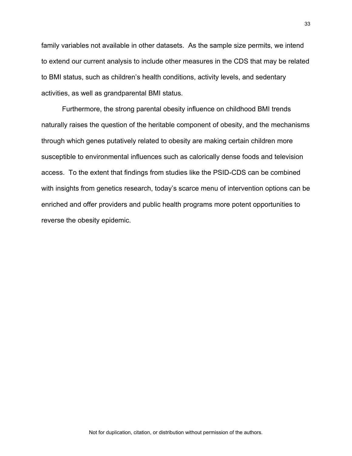family variables not available in other datasets. As the sample size permits, we intend to extend our current analysis to include other measures in the CDS that may be related to BMI status, such as children's health conditions, activity levels, and sedentary activities, as well as grandparental BMI status.

Furthermore, the strong parental obesity influence on childhood BMI trends naturally raises the question of the heritable component of obesity, and the mechanisms through which genes putatively related to obesity are making certain children more susceptible to environmental influences such as calorically dense foods and television access. To the extent that findings from studies like the PSID-CDS can be combined with insights from genetics research, today's scarce menu of intervention options can be enriched and offer providers and public health programs more potent opportunities to reverse the obesity epidemic.